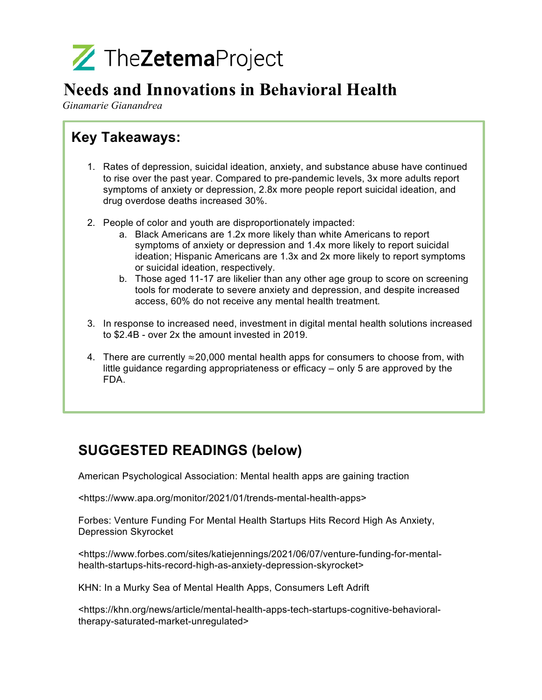

## **Needs and Innovations in Behavioral Health**

*Ginamarie Gianandrea*

## **Key Takeaways:**

- 1. Rates of depression, suicidal ideation, anxiety, and substance abuse have continued to rise over the past year. Compared to pre-pandemic levels, 3x more adults report symptoms of anxiety or depression, 2.8x more people report suicidal ideation, and drug overdose deaths increased 30%.
- 2. People of color and youth are disproportionately impacted:
	- a. Black Americans are 1.2x more likely than white Americans to report symptoms of anxiety or depression and 1.4x more likely to report suicidal ideation; Hispanic Americans are 1.3x and 2x more likely to report symptoms or suicidal ideation, respectively.
	- b. Those aged 11-17 are likelier than any other age group to score on screening tools for moderate to severe anxiety and depression, and despite increased access, 60% do not receive any mental health treatment.
- 3. In response to increased need, investment in digital mental health solutions increased to \$2.4B - over 2x the amount invested in 2019.
- 4. There are currently  $\approx$  20,000 mental health apps for consumers to choose from, with little guidance regarding appropriateness or efficacy – only 5 are approved by the FDA.

## **SUGGESTED READINGS (below)**

American Psychological Association: Mental health apps are gaining traction

<https://www.apa.org/monitor/2021/01/trends-mental-health-apps>

Forbes: Venture Funding For Mental Health Startups Hits Record High As Anxiety, Depression Skyrocket

<https://www.forbes.com/sites/katiejennings/2021/06/07/venture-funding-for-mentalhealth-startups-hits-record-high-as-anxiety-depression-skyrocket>

KHN: In a Murky Sea of Mental Health Apps, Consumers Left Adrift

<https://khn.org/news/article/mental-health-apps-tech-startups-cognitive-behavioraltherapy-saturated-market-unregulated>